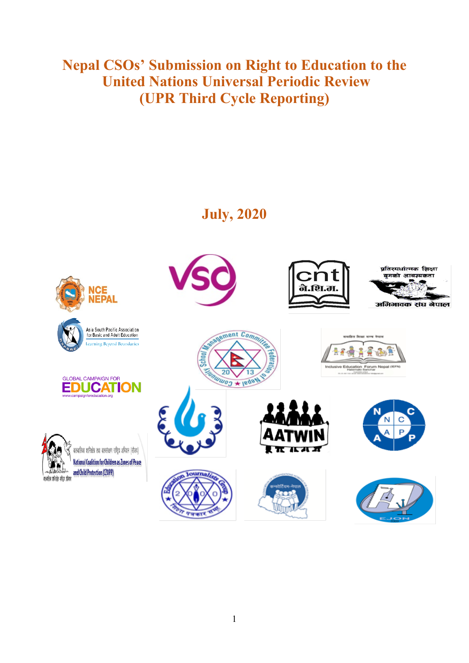# **Nepal CSOs' Submission on Right to Education to the United Nations Universal Periodic Review (UPR Third Cycle Reporting)**

# **July, 2020**

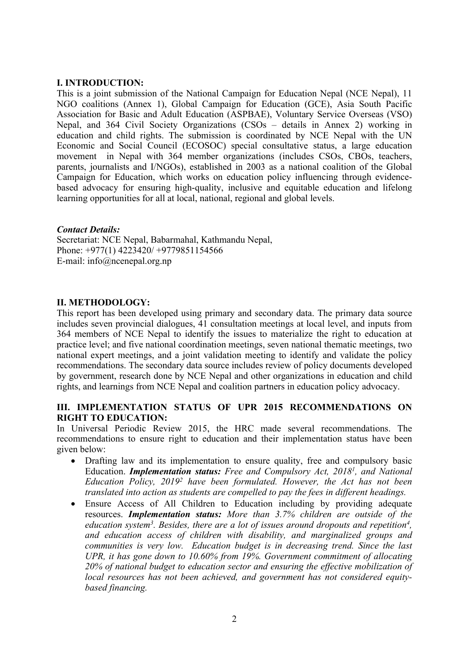## **I. INTRODUCTION:**

This is <sup>a</sup> joint submission of the National Campaign for Education Nepal (NCE Nepal), 11 NGO coalitions (Annex 1), Global Campaign for Education (GCE), Asia South Pacific Association for Basic and Adult Education (ASPBAE), Voluntary Service Overseas (VSO) Nepal, and 364 Civil Society Organizations (CSOs – details in Annex 2) working in education and child rights. The submission is coordinated by NCE Nepal with the UN Economic and Social Council (ECOSOC) special consultative status, <sup>a</sup> large education movement in Nepal with 364 member organizations (includes CSOs, CBOs, teachers, parents, journalists and I/NGOs), established in 2003 as <sup>a</sup> national coalition of the Global Campaign for Education, which works on education policy influencing through evidencebased advocacy for ensuring high-quality, inclusive and equitable education and lifelong learning opportunities for all at local, national, regional and global levels.

#### *Contact Details:*

Secretariat: NCE Nepal, Babarmahal, Kathmandu Nepal, Phone: +977(1) 4223420/ +9779851154566 E-mail: info@ncenepal.org.np

## **II. METHODOLOGY:**

This repor<sup>t</sup> has been developed using primary and secondary data. The primary data source includes seven provincial dialogues, 41 consultation meetings at local level, and inputs from 364 members of NCE Nepal to identify the issues to materialize the right to education at practice level; and five national coordination meetings, seven national thematic meetings, two national exper<sup>t</sup> meetings, and <sup>a</sup> joint validation meeting to identify and validate the policy recommendations. The secondary data source includes review of policy documents developed by government, research done by NCE Nepal and other organizations in education and child rights, and learnings from NCE Nepal and coalition partners in education policy advocacy.

#### **III. IMPLEMENTATION STATUS OF UPR 2015 RECOMMENDATIONS ON RIGHT TO EDUCATION:**

In Universal Periodic Review 2015, the HRC made several recommendations. The recommendations to ensure right to education and their implementation status have been given below:

- 6 Drafting law and its implementation to ensure quality, free and compulsory basic Education. *Implementation status: Free and Compulsory Act, 2018<sup>1</sup> , and National Education Policy, 2019<sup>2</sup> have been formulated. However, the Act has not been translated into action as students are compelled to pay the fees in different headings.*
- $\bullet$  Ensure Access of All Children to Education including by providing adequate resources. *Implementation status: More than 3.7% children are outside of the education system<sup>3</sup> . Besides, there are <sup>a</sup> lot of issues around dropouts and repetition<sup>4</sup> , and education access of children with disability, and marginalized groups and communities is very low. Education budget is in decreasing trend. Since the last UPR, it has gone down to 10.60% from 19%. Government commitment of allocating 20% of national budget to education sector and ensuring the effective mobilization of local resources has not been achieved, and governmen<sup>t</sup> has not considered equitybased financing.*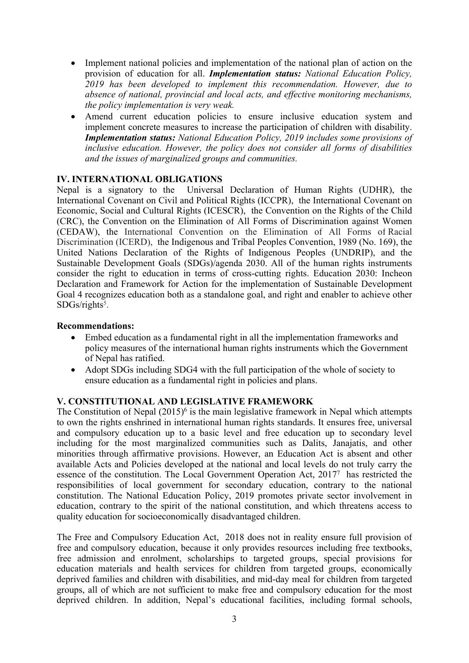- Implement national policies and implementation of the national plan of action on the provision of education for all. *Implementation status: National Education Policy, 2019 has been developed to implement this recommendation. However, due to absence of national, provincial and local acts, and effective monitoring mechanisms, the policy implementation is very weak.*
- $\bullet$  Amend current education policies to ensure inclusive education system and implement concrete measures to increase the participation of children with disability. *Implementation status: National Education Policy, 2019 includes some provisions of inclusive education. However, the policy does not consider all forms of disabilities and the issues of marginalized groups and communities.*

#### **IV. INTERNATIONAL OBLIGATIONS**

Nepal is <sup>a</sup> signatory to the Universal Declaration of Human Rights (UDHR), the International Covenant on Civil and Political Rights (ICCPR), the International Covenant on Economic, Social and Cultural Rights (ICESCR), the Convention on the Rights of the Child (CRC), the Convention on the Elimination of All Forms of Discrimination against Women (CEDAW), the International Convention on the Elimination of All Forms of Racial Discrimination (ICERD), the Indigenous and Tribal Peoples Convention, 1989 (No. 169), the United Nations Declaration of the Rights of Indigenous Peoples (UNDRIP), and the Sustainable Development Goals (SDGs)/agenda 2030. All of the human rights instruments consider the right to education in terms of cross-cutting rights. Education 2030: Incheon Declaration and Framework for Action for the implementation of Sustainable Development Goal 4 recognizes education both as <sup>a</sup> standalone goal, and right and enabler to achieve other SDGs/rights<sup>5</sup>.

#### **Recommendations:**

- C Embed education as <sup>a</sup> fundamental right in all the implementation frameworks and policy measures of the international human rights instruments which the Government of Nepal has ratified.
- Adopt SDGs including SDG4 with the full participation of the whole of society to ensure education as <sup>a</sup> fundamental right in policies and plans.

# **V. CONSTITUTIONAL AND LEGISLATIVE FRAMEWORK**

The Constitution of Nepal (2015)<sup>6</sup> is the main legislative framework in Nepal which attempts to own the rights enshrined in international human rights standards. It ensures free, universal and compulsory education up to <sup>a</sup> basic level and free education up to secondary level including for the most marginalized communities such as Dalits, Janajatis, and other minorities through affirmative provisions. However, an Education Act is absent and other available Acts and Policies developed at the national and local levels do not truly carry the essence of the constitution. The Local Government Operation Act, 2017<sup>7</sup> has restricted the responsibilities of local governmen<sup>t</sup> for secondary education, contrary to the national constitution. The National Education Policy, 2019 promotes private sector involvement in education, contrary to the spirit of the national constitution, and which threatens access to quality education for socioeconomically disadvantaged children.

The Free and Compulsory Education Act, 2018 does not in reality ensure full provision of free and compulsory education, because it only provides resources including free textbooks, free admission and enrolment, scholarships to targeted groups, special provisions for education materials and health services for children from targeted groups, economically deprived families and children with disabilities, and mid-day meal for children from targeted groups, all of which are not sufficient to make free and compulsory education for the most deprived children. In addition, Nepal'<sup>s</sup> educational facilities, including formal schools,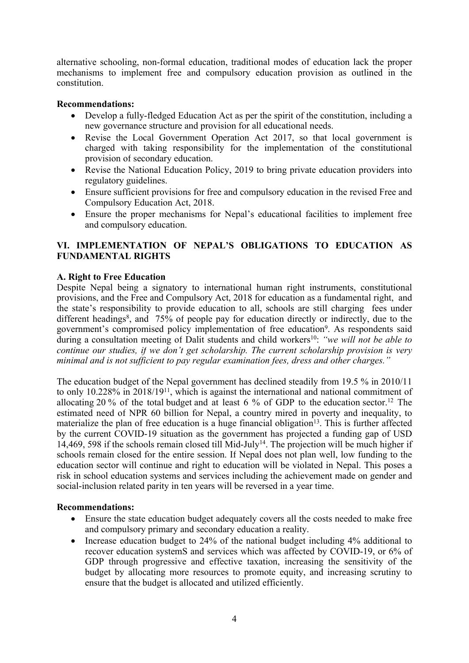alternative schooling, non-formal education, traditional modes of education lack the proper mechanisms to implement free and compulsory education provision as outlined in the constitution.

## **Recommendations:**

- C Develop <sup>a</sup> fully-fledged Education Act as per the spirit of the constitution, including <sup>a</sup> new governance structure and provision for all educational needs.
- $\bullet$  Revise the Local Government Operation Act 2017, so that local governmen<sup>t</sup> is charged with taking responsibility for the implementation of the constitutional provision of secondary education.
- $\bullet$  Revise the National Education Policy, 2019 to bring private education providers into regulatory guidelines.
- Ensure sufficient provisions for free and compulsory education in the revised Free and Compulsory Education Act, 2018.
- $\bullet$  Ensure the proper mechanisms for Nepal'<sup>s</sup> educational facilities to implement free and compulsory education.

# **VI. IMPLEMENTATION OF NEPAL'S OBLIGATIONS TO EDUCATION AS FUNDAMENTAL RIGHTS**

## **A. Right to Free Education**

Despite Nepal being <sup>a</sup> signatory to international human right instruments, constitutional provisions, and the Free and Compulsory Act, 2018 for education as <sup>a</sup> fundamental right, and the state'<sup>s</sup> responsibility to provide education to all, schools are still charging fees under different headings 8 , and 75% of people pay for education directly or indirectly, due to the government's compromised policy implementation of free education<sup>9</sup>. As respondents said during <sup>a</sup> consultation meeting of Dalit students and child workers 10 : *"we will not be able to continue our studies, if we don'<sup>t</sup> ge<sup>t</sup> scholarship. The current scholarship provision is very minimal and is not sufficient to pay regular examination fees, dress and other charges."*

The education budget of the Nepal governmen<sup>t</sup> has declined steadily from 19.5 % in 2010/11 to only 10.228% in 2018/19<sup>11</sup> , which is against the international and national commitment of allocating 20 % of the total budget and at least 6 % of GDP to the education sector. 12 The estimated need of NPR 60 billion for Nepal, <sup>a</sup> country mired in poverty and inequality, to materialize the plan of free education is a huge financial obligation<sup>13</sup>. This is further affected by the current COVID-19 situation as the governmen<sup>t</sup> has projected <sup>a</sup> funding gap of USD 14,469, 598 if the schools remain closed till Mid-July<sup>14</sup>. The projection will be much higher if schools remain closed for the entire session. If Nepal does not plan well, low funding to the education sector will continue and right to education will be violated in Nepal. This poses <sup>a</sup> risk in school education systems and services including the achievement made on gender and social-inclusion related parity in ten years will be reversed in <sup>a</sup> year time.

#### **Recommendations:**

- Ensure the state education budget adequately covers all the costs needed to make free and compulsory primary and secondary education <sup>a</sup> reality.
- $\bullet$  Increase education budget to 24% of the national budget including 4% additional to recover education systemS and services which was affected by COVID-19, or 6% of GDP through progressive and effective taxation, increasing the sensitivity of the budget by allocating more resources to promote equity, and increasing scrutiny to ensure that the budget is allocated and utilized efficiently.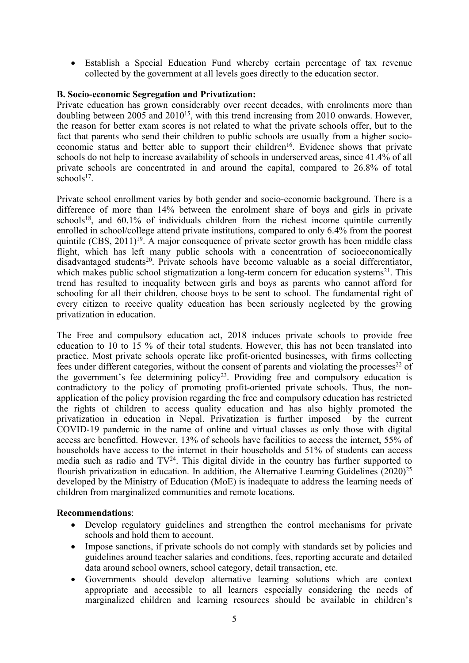Establish <sup>a</sup> Special Education Fund whereby certain percentage of tax revenue collected by the governmen<sup>t</sup> at all levels goes directly to the education sector.

## **B. Socio-economic Segregation and Privatization:**

Private education has grown considerably over recent decades, with enrolments more than doubling between 2005 and  $2010^{15}$ , with this trend increasing from 2010 onwards. However, the reason for better exam scores is not related to what the private schools offer, but to the fact that parents who send their children to public schools are usually from <sup>a</sup> higher socioeconomic status and better able to support their children<sup>16</sup>. Evidence shows that private schools do not help to increase availability of schools in underserved areas, since 41.4% of all private schools are concentrated in and around the capital, compared to 26.8% of total schools 17 .

Private school enrollment varies by both gender and socio-economic background. There is <sup>a</sup> difference of more than 14% between the enrolment share of boys and girls in private schools<sup>18</sup>, and 60.1% of individuals children from the richest income quintile currently enrolled in school/college attend private institutions, compared to only 6.4% from the poores<sup>t</sup> quintile (CBS, 2011) 19 . A major consequence of private sector growth has been middle class flight, which has left many public schools with <sup>a</sup> concentration of socioeconomically disadvantaged students 20 . Private schools have become valuable as <sup>a</sup> social differentiator, which makes public school stigmatization a long-term concern for education systems<sup>21</sup>. This trend has resulted to inequality between girls and boys as parents who cannot afford for schooling for all their children, choose boys to be sent to school. The fundamental right of every citizen to receive quality education has been seriously neglected by the growing privatization in education.

The Free and compulsory education act, 2018 induces private schools to provide free education to 10 to 15 % of their total students. However, this has not been translated into practice. Most private schools operate like profit-oriented businesses, with firms collecting fees under different categories, without the consent of parents and violating the processes<sup>22</sup> of the government's fee determining policy<sup>23</sup>. Providing free and compulsory education is contradictory to the policy of promoting profit-oriented private schools. Thus, the nonapplication of the policy provision regarding the free and compulsory education has restricted the rights of children to access quality education and has also highly promoted the privatization in education in Nepal. Privatization is further imposed by the current COVID-19 pandemic in the name of online and virtual classes as only those with digital access are benefitted. However, 13% of schools have facilities to access the internet, 55% of households have access to the internet in their households and 51% of students can access media such as radio and  $TV^{24}$ . This digital divide in the country has further supported to flourish privatization in education. In addition, the Alternative Learning Guidelines (2020)<sup>25</sup> developed by the Ministry of Education (MoE) is inadequate to address the learning needs of children from marginalized communities and remote locations.

#### **Recommendations**:

- Develop regulatory guidelines and strengthen the control mechanisms for private schools and hold them to account.
- $\bullet$  Impose sanctions, if private schools do not comply with standards set by policies and guidelines around teacher salaries and conditions, fees, reporting accurate and detailed data around school owners, school category, detail transaction, etc.
- $\bullet$  Governments should develop alternative learning solutions which are context appropriate and accessible to all learners especially considering the needs of marginalized children and learning resources should be available in children'<sup>s</sup>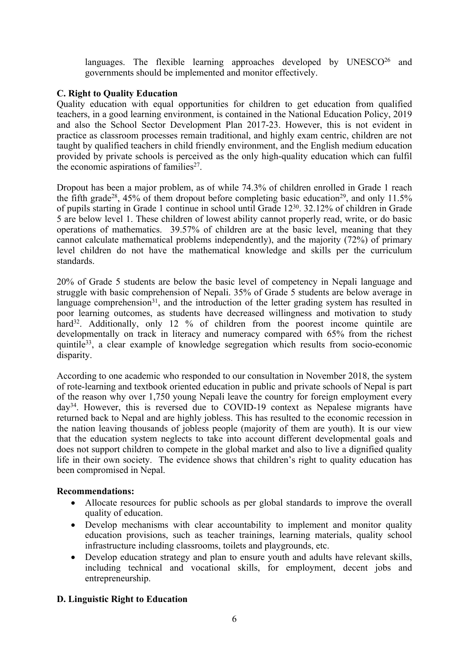languages. The flexible learning approaches developed by UNESCO<sup>26</sup> and governments should be implemented and monitor effectively.

## **C. Right to Quality Education**

Quality education with equal opportunities for children to ge<sup>t</sup> education from qualified teachers, in <sup>a</sup> good learning environment, is contained in the National Education Policy, 2019 and also the School Sector Development Plan 2017-23. However, this is not evident in practice as classroom processes remain traditional, and highly exam centric, children are not taught by qualified teachers in child friendly environment, and the English medium education provided by private schools is perceived as the only high-quality education which can fulfil the economic aspirations of families<sup>27</sup>.

Dropout has been <sup>a</sup> major problem, as of while 74.3% of children enrolled in Grade 1 reach the fifth grade<sup>28</sup>, 45% of them dropout before completing basic education<sup>29</sup>, and only 11.5% of pupils starting in Grade 1 continue in school until Grade 12<sup>30</sup>. 32.12% of children in Grade 5 are below level 1. These children of lowest ability cannot properly read, write, or do basic operations of mathematics. 39.57% of children are at the basic level, meaning that they cannot calculate mathematical problems independently), and the majority (72%) of primary level children do not have the mathematical knowledge and skills per the curriculum standards.

20% of Grade 5 students are below the basic level of competency in Nepali language and struggle with basic comprehension of Nepali. 35% of Grade 5 students are below average in language comprehension<sup>31</sup>, and the introduction of the letter grading system has resulted in poor learning outcomes, as students have decreased willingness and motivation to study hard<sup>32</sup>. Additionally, only 12 % of children from the poorest income quintile are developmentally on track in literacy and numeracy compared with 65% from the richest quintile<sup>33</sup>, a clear example of knowledge segregation which results from socio-economic disparity.

According to one academic who responded to our consultation in November 2018, the system of rote-learning and textbook oriented education in public and private schools of Nepal is par<sup>t</sup> of the reason why over 1,750 young Nepali leave the country for foreign employment every day<sup>34</sup> . However, this is reversed due to COVID-19 context as Nepalese migrants have returned back to Nepal and are highly jobless. This has resulted to the economic recession in the nation leaving thousands of jobless people (majority of them are youth). It is our view that the education system neglects to take into account different developmental goals and does not suppor<sup>t</sup> children to compete in the global market and also to live <sup>a</sup> dignified quality life in their own society. The evidence shows that children'<sup>s</sup> right to quality education has been compromised in Nepal.

#### **Recommendations:**

- Allocate resources for public schools as per global standards to improve the overall quality of education.
- $\bullet$  Develop mechanisms with clear accountability to implement and monitor quality education provisions, such as teacher trainings, learning materials, quality school infrastructure including classrooms, toilets and playgrounds, etc.
- $\bullet$  Develop education strategy and plan to ensure youth and adults have relevant skills, including technical and vocational skills, for employment, decent jobs and entrepreneurship.

# **D. Linguistic Right to Education**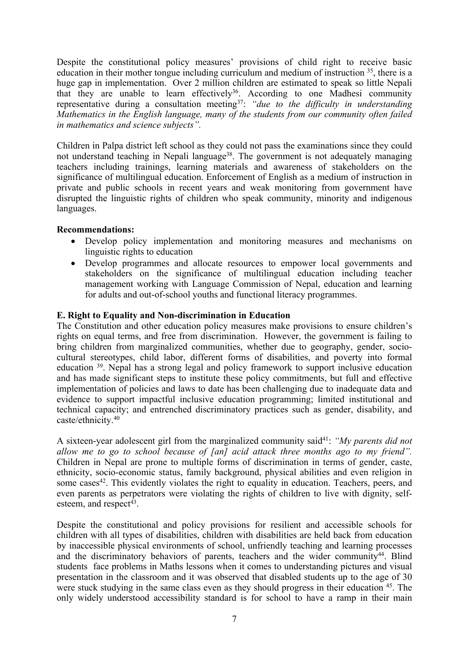Despite the constitutional policy measures' provisions of child right to receive basic education in their mother tongue including curriculum and medium of instruction <sup>35</sup>, there is a huge gap in implementation. Over 2 million children are estimated to speak so little Nepali that they are unable to learn effectively<sup>36</sup>. According to one Madhesi community representative during <sup>a</sup> consultation meeting<sup>37</sup> : *"due to the difficulty in understanding Mathematics in the English language, many of the students from our community often failed in mathematics and science subjects".*

Children in Palpa district left school as they could not pass the examinations since they could not understand teaching in Nepali language<sup>38</sup>. The government is not adequately managing teachers including trainings, learning materials and awareness of stakeholders on the significance of multilingual education. Enforcement of English as <sup>a</sup> medium of instruction in private and public schools in recent years and weak monitoring from governmen<sup>t</sup> have disrupted the linguistic rights of children who speak community, minority and indigenous languages.

## **Recommendations:**

- Develop policy implementation and monitoring measures and mechanisms on linguistic rights to education
- Develop programmes and allocate resources to empower local governments and stakeholders on the significance of multilingual education including teacher managemen<sup>t</sup> working with Language Commission of Nepal, education and learning for adults and out-of-school youths and functional literacy programmes.

## **E. Right to Equality and Non-discrimination in Education**

The Constitution and other education policy measures make provisions to ensure children'<sup>s</sup> rights on equal terms, and free from discrimination. However, the governmen<sup>t</sup> is failing to bring children from marginalized communities, whether due to geography, gender, sociocultural stereotypes, child labor, different forms of disabilities, and poverty into formal education <sup>39</sup>. Nepal has a strong legal and policy framework to support inclusive education and has made significant steps to institute these policy commitments, but full and effective implementation of policies and laws to date has been challenging due to inadequate data and evidence to suppor<sup>t</sup> impactful inclusive education programming; limited institutional and technical capacity; and entrenched discriminatory practices such as gender, disability, and caste/ethnicity. 40

<sup>A</sup> sixteen-year adolescent <sup>g</sup>irl from the marginalized community said<sup>41</sup> : *"My parents did not allow me to go to school because of [an] acid attack three months ago to my friend".* Children in Nepal are prone to multiple forms of discrimination in terms of gender, caste, ethnicity, socio-economic status, family background, physical abilities and even religion in some cases<sup>42</sup>. This evidently violates the right to equality in education. Teachers, peers, and even parents as perpetrators were violating the rights of children to live with dignity, selfesteem, and respec<sup>t</sup> 43 .

Despite the constitutional and policy provisions for resilient and accessible schools for children with all types of disabilities, children with disabilities are held back from education by inaccessible physical environments of school, unfriendly teaching and learning processes and the discriminatory behaviors of parents, teachers and the wider community<sup>44</sup>. Blind students face problems in Maths lessons when it comes to understanding pictures and visual presentation in the classroom and it was observed that disabled students up to the age of 30 were stuck studying in the same class even as they should progress in their education <sup>45</sup>. The only widely understood accessibility standard is for school to have <sup>a</sup> ramp in their main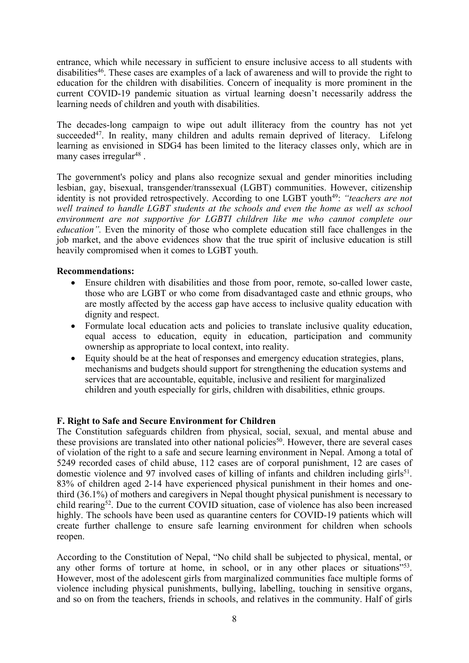entrance, which while necessary in sufficient to ensure inclusive access to all students with disabilities 46 . These cases are examples of <sup>a</sup> lack of awareness and will to provide the right to education for the children with disabilities. Concern of inequality is more prominent in the current COVID-19 pandemic situation as virtual learning doesn'<sup>t</sup> necessarily address the learning needs of children and youth with disabilities.

The decades-long campaign to wipe out adult illiteracy from the country has not ye<sup>t</sup> succeeded<sup>47</sup>. In reality, many children and adults remain deprived of literacy. Lifelong learning as envisioned in SDG4 has been limited to the literacy classes only, which are in many cases irregular<sup>48</sup> .

The government's policy and plans also recognize sexual and gender minorities including lesbian, gay, bisexual, transgender/transsexual (LGBT) communities. However, citizenship identity is not provided retrospectively. According to one LGBT youth<sup>49</sup>: *"teachers are not well trained to handle LGBT students at the schools and even the home as well as school environment are not supportive for LGBTI children like me who cannot complete our education".* Even the minority of those who complete education still face challenges in the job market, and the above evidences show that the true spirit of inclusive education is still heavily compromised when it comes to LGBT youth.

## **Recommendations:**

- $\bullet$  Ensure children with disabilities and those from poor, remote, so-called lower caste, those who are LGBT or who come from disadvantaged caste and ethnic groups, who are mostly affected by the access gap have access to inclusive quality education with dignity and respect.
- Formulate local education acts and policies to translate inclusive quality education, equal access to education, equity in education, participation and community ownership as appropriate to local context, into reality.
- Equity should be at the heat of responses and emergency education strategies, plans, mechanisms and budgets should suppor<sup>t</sup> for strengthening the education systems and services that are accountable, equitable, inclusive and resilient for marginalized children and youth especially for girls, children with disabilities, ethnic groups.

# **F. Right to Safe and Secure Environment for Children**

The Constitution safeguards children from physical, social, sexual, and mental abuse and these provisions are translated into other national policies 50 . However, there are several cases of violation of the right to <sup>a</sup> safe and secure learning environment in Nepal. Among <sup>a</sup> total of 5249 recorded cases of child abuse, 112 cases are of corporal punishment, 12 are cases of domestic violence and 97 involved cases of killing of infants and children including girls<sup>51</sup>. 83% of children aged 2-14 have experienced physical punishment in their homes and onethird (36.1%) of mothers and caregivers in Nepal thought physical punishment is necessary to child rearing<sup>52</sup>. Due to the current COVID situation, case of violence has also been increased highly. The schools have been used as quarantine centers for COVID-19 patients which will create further challenge to ensure safe learning environment for children when schools reopen.

According to the Constitution of Nepal, "No child shall be subjected to physical, mental, or any other forms of torture at home, in school, or in any other places or situations"<sup>53</sup>. However, most of the adolescent girls from marginalized communities face multiple forms of violence including physical punishments, bullying, labelling, touching in sensitive organs, and so on from the teachers, friends in schools, and relatives in the community. Half of girls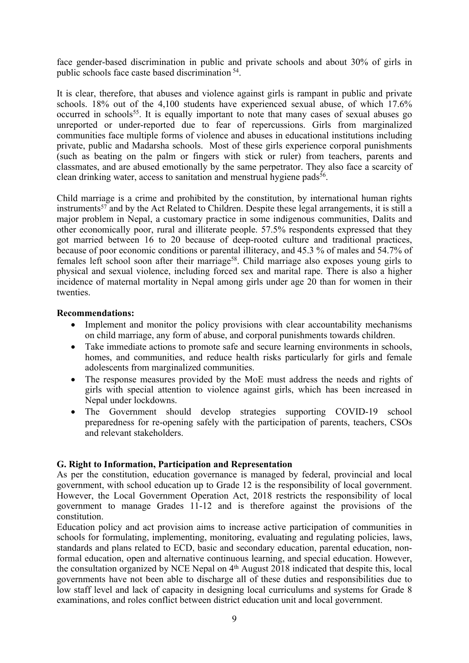face gender-based discrimination in public and private schools and about 30% of girls in public schools face caste based discrimination <sup>54</sup> .

It is clear, therefore, that abuses and violence against girls is rampan<sup>t</sup> in public and private schools. 18% out of the 4,100 students have experienced sexual abuse, of which 17.6% occurred in schools 55 . It is equally important to note that many cases of sexual abuses go unreported or under-reported due to fear of repercussions. Girls from marginalized communities face multiple forms of violence and abuses in educational institutions including private, public and Madarsha schools. Most of these girls experience corporal punishments (such as beating on the palm or fingers with stick or ruler) from teachers, parents and classmates, and are abused emotionally by the same perpetrator. They also face <sup>a</sup> scarcity of clean drinking water, access to sanitation and menstrual hygiene pads 56 .

Child marriage is <sup>a</sup> crime and prohibited by the constitution, by international human rights instruments 57 and by the Act Related to Children. Despite these legal arrangements, it is still <sup>a</sup> major problem in Nepal, <sup>a</sup> customary practice in some indigenous communities, Dalits and other economically poor, rural and illiterate people. 57.5% respondents expressed that they go<sup>t</sup> married between 16 to 20 because of deep-rooted culture and traditional practices, because of poor economic conditions or parental illiteracy, and 45.3 % of males and 54.7% of females left school soon after their marriage<sup>58</sup>. Child marriage also exposes young girls to physical and sexual violence, including forced sex and marital rape. There is also <sup>a</sup> higher incidence of maternal mortality in Nepal among girls under age 20 than for women in their twenties.

#### **Recommendations:**

- Implement and monitor the policy provisions with clear accountability mechanisms on child marriage, any form of abuse, and corporal punishments towards children.
- $\bullet$  Take immediate actions to promote safe and secure learning environments in schools, homes, and communities, and reduce health risks particularly for girls and female adolescents from marginalized communities.
- $\bullet$  The response measures provided by the MoE must address the needs and rights of girls with special attention to violence against girls, which has been increased in Nepal under lockdowns.
- The Government should develop strategies supporting COVID-19 school preparedness for re-opening safely with the participation of parents, teachers, CSOs and relevant stakeholders.

#### **G. Right to Information, Participation and Representation**

As per the constitution, education governance is managed by federal, provincial and local government, with school education up to Grade 12 is the responsibility of local government. However, the Local Government Operation Act, 2018 restricts the responsibility of local governmen<sup>t</sup> to manage Grades 11-12 and is therefore against the provisions of the constitution.

Education policy and act provision aims to increase active participation of communities in schools for formulating, implementing, monitoring, evaluating and regulating policies, laws, standards and plans related to ECD, basic and secondary education, parental education, nonformal education, open and alternative continuous learning, and special education. However, the consultation organized by NCE Nepal on 4<sup>th</sup> August 2018 indicated that despite this, local governments have not been able to discharge all of these duties and responsibilities due to low staff level and lack of capacity in designing local curriculums and systems for Grade 8 examinations, and roles conflict between district education unit and local government.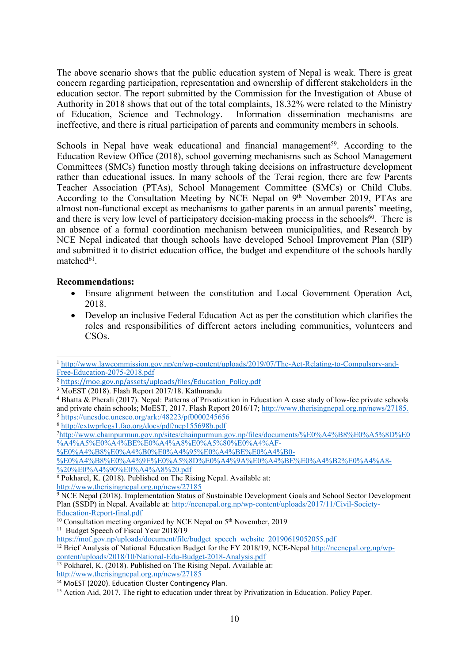The above scenario shows that the public education system of Nepal is weak. There is grea<sup>t</sup> concern regarding participation, representation and ownership of different stakeholders in the education sector. The repor<sup>t</sup> submitted by the Commission for the Investigation of Abuse of Authority in 2018 shows that out of the total complaints, 18.32% were related to the Ministry of Education, Science and Technology. Information dissemination mechanisms are ineffective, and there is ritual participation of parents and community members in schools.

Schools in Nepal have weak educational and financial management<sup>59</sup>. According to the Education Review Office (2018), school governing mechanisms such as School Management Committees (SMCs) function mostly through taking decisions on infrastructure development rather than educational issues. In many schools of the Terai region, there are few Parents Teacher Association (PTAs), School Management Committee (SMCs) or Child Clubs. According to the Consultation Meeting by NCE Nepal on  $9<sup>th</sup>$  November 2019, PTAs are almost non-functional excep<sup>t</sup> as mechanisms to gather parents in an annual parents' meeting, and there is very low level of participatory decision-making process in the schools 60 . There is an absence of <sup>a</sup> formal coordination mechanism between municipalities, and Research by NCE Nepal indicated that though schools have developed School Improvement Plan (SIP) and submitted it to district education office, the budget and expenditure of the schools hardly matched<sup>61</sup>.

## **Recommendations:**

- Ensure alignment between the constitution and Local Government Operation Act, 2018.
- $\bullet$  Develop an inclusive Federal Education Act as per the constitution which clarifies the roles and responsibilities of different actors including communities, volunteers and CSOs.

<sup>1</sup> [http://www.lawcommission.gov.np/en/wp-content/uploads/2019/07/The-Act-Relating-to-Compulsory-and-](http://www.lawcommission.gov.np/en/wp-content/uploads/2019/07/The-Act-Relating-to-Compulsory-and-Free-Education-2075-2018.pdf)[Free-Education-2075-2018.pdf](http://www.lawcommission.gov.np/en/wp-content/uploads/2019/07/The-Act-Relating-to-Compulsory-and-Free-Education-2075-2018.pdf)

<sup>2</sup> [https://moe.gov.np/assets/uploads/files/Education\\_Policy.pdf](https://moe.gov.np/assets/uploads/files/Education_Policy.pdf)

<sup>3</sup> MoEST (2018). Flash Report 2017/18. Kathmandu

<sup>4</sup> Bhatta & Pherali (2017). Nepal: Patterns of Privatization in Education <sup>A</sup> case study of low-fee private schools and private chain schools; MoEST, 2017. Flash Report 2016/17; <http://www.therisingnepal.org.np/news/27185>. <sup>5</sup> <https://unesdoc.unesco.org/ark:/48223/pf0000245656>

<sup>6</sup> <http://extwprlegs1.fao.org/docs/pdf/nep155698b.pdf>

<sup>7</sup> [http://www.chainpurmun.gov.np/sites/chainpurmun.gov.np/files/documents/%E0%A4%B8%E0%A5%8D%E0](http://www.chainpurmun.gov.np/sites/chainpurmun.gov.np/files/documents/%E0%A4%B8%E0%A5%8D%E0%A4%A5%E0%A4%BE%E0%A4%A8%E0%A5%80%E0%A4%AF-%E0%A4%B8%E0%A4%B0%E0%A4%95%E0%A4%BE%E0%A4%B0-%E0%A4%B8%E0%A4%9E%E0%A5%8D%E0%A4%9A%E0%A4%BE%E0%A4%B2%E0%A4%A8-%20%E0%A4%90%E0%A4%A8%20.pdf) [%A4%A5%E0%A4%BE%E0%A4%A8%E0%A5%80%E0%A4%AF-](http://www.chainpurmun.gov.np/sites/chainpurmun.gov.np/files/documents/%E0%A4%B8%E0%A5%8D%E0%A4%A5%E0%A4%BE%E0%A4%A8%E0%A5%80%E0%A4%AF-%E0%A4%B8%E0%A4%B0%E0%A4%95%E0%A4%BE%E0%A4%B0-%E0%A4%B8%E0%A4%9E%E0%A5%8D%E0%A4%9A%E0%A4%BE%E0%A4%B2%E0%A4%A8-%20%E0%A4%90%E0%A4%A8%20.pdf)

[<sup>%</sup>E0%A4%B8%E0%A4%B0%E0%A4%95%E0%A4%BE%E0%A4%B0-](http://www.chainpurmun.gov.np/sites/chainpurmun.gov.np/files/documents/%E0%A4%B8%E0%A5%8D%E0%A4%A5%E0%A4%BE%E0%A4%A8%E0%A5%80%E0%A4%AF-%E0%A4%B8%E0%A4%B0%E0%A4%95%E0%A4%BE%E0%A4%B0-%E0%A4%B8%E0%A4%9E%E0%A5%8D%E0%A4%9A%E0%A4%BE%E0%A4%B2%E0%A4%A8-%20%E0%A4%90%E0%A4%A8%20.pdf)

[<sup>%</sup>E0%A4%B8%E0%A4%9E%E0%A5%8D%E0%A4%9A%E0%A4%BE%E0%A4%B2%E0%A4%A8-](http://www.chainpurmun.gov.np/sites/chainpurmun.gov.np/files/documents/%E0%A4%B8%E0%A5%8D%E0%A4%A5%E0%A4%BE%E0%A4%A8%E0%A5%80%E0%A4%AF-%E0%A4%B8%E0%A4%B0%E0%A4%95%E0%A4%BE%E0%A4%B0-%E0%A4%B8%E0%A4%9E%E0%A5%8D%E0%A4%9A%E0%A4%BE%E0%A4%B2%E0%A4%A8-%20%E0%A4%90%E0%A4%A8%20.pdf) [%20%E0%A4%90%E0%A4%A8%20.pdf](http://www.chainpurmun.gov.np/sites/chainpurmun.gov.np/files/documents/%E0%A4%B8%E0%A5%8D%E0%A4%A5%E0%A4%BE%E0%A4%A8%E0%A5%80%E0%A4%AF-%E0%A4%B8%E0%A4%B0%E0%A4%95%E0%A4%BE%E0%A4%B0-%E0%A4%B8%E0%A4%9E%E0%A5%8D%E0%A4%9A%E0%A4%BE%E0%A4%B2%E0%A4%A8-%20%E0%A4%90%E0%A4%A8%20.pdf)

<sup>8</sup> Pokharel, K. (2018). Published on The Rising Nepal. Available at:

<http://www.therisingnepal.org.np/news/27185>

 $9$  NCE Nepal (2018). Implementation Status of Sustainable Development Goals and School Sector Development Plan (SSDP) in Nepal. Available at: [http://ncenepal.org.np/wp-content/uploads/2017/11/Civil-Society-](http://ncenepal.org.np/wp-content/uploads/2017/11/Civil-Society-Education-Report-final.pdf)[Education-Report-final.pdf](http://ncenepal.org.np/wp-content/uploads/2017/11/Civil-Society-Education-Report-final.pdf)

 $10$  Consultation meeting organized by NCE Nepal on  $5<sup>th</sup>$  November, 2019

<sup>&</sup>lt;sup>11</sup> Budget Speech of Fiscal Year 2018/19

[https://mof.gov.np/uploads/document/file/budget\\_speech\\_website\\_20190619052055.pdf](https://mof.gov.np/uploads/document/file/budget_speech_website_20190619052055.pdf)

<sup>&</sup>lt;sup>12</sup> Brief Analysis of National Education Budget for the FY 2018/19, NCE-Nepal [http://ncenepal.org.np/wp](http://ncenepal.org.np/wp-content/uploads/2018/10/National-Edu-Budget-2018-Analysis.pdf)[content/uploads/2018/10/National-Edu-Budget-2018-Analysis.pdf](http://ncenepal.org.np/wp-content/uploads/2018/10/National-Edu-Budget-2018-Analysis.pdf)

<sup>13</sup> Pokharel, K. (2018). Published on The Rising Nepal. Available at:

<http://www.therisingnepal.org.np/news/27185>

<sup>14</sup> MoEST (2020). Education Cluster Contingency Plan.

<sup>&</sup>lt;sup>15</sup> Action Aid, 2017. The right to education under threat by Privatization in Education. Policy Paper.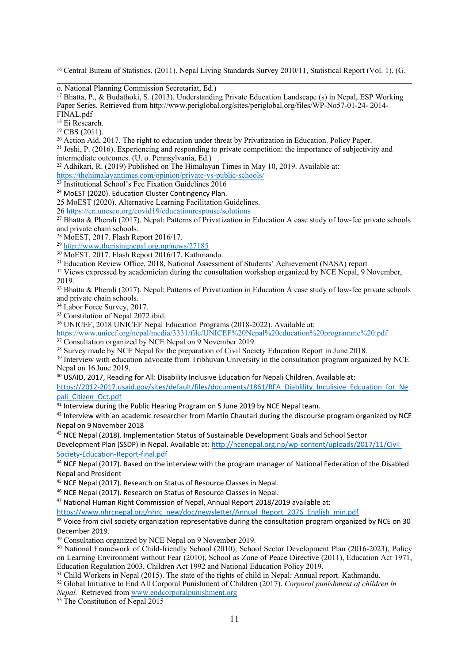<sup>16</sup> Central Bureau of Statistics. (2011). Nepal Living Standards Survey 2010/11, Statistical Report (Vol. 1). (G.

o. National Planning Commission Secretariat, Ed.)

<sup>17</sup> Bhatta, P., & Budathoki, S. (2013). Understanding Private Education Landscape (s) in Nepal, ESP Working Paper Series. Retrieved from http://www.periglobal.org/sites/periglobal.org/files/WP-No57-01-24- 2014- FINAL.pdf

18 Ei Research.

<sup>19</sup> CBS (2011).

<sup>20</sup> Action Aid, 2017. The right to education under threat by Privatization in Education. Policy Paper.

<sup>21</sup> Joshi, P. (2016). Experiencing and responding to private competition: the importance of subjectivity and intermediate outcomes. (U. o. Pennsylvania, Ed.)

<sup>22</sup> Adhikari, R. (2019) Published on The Himalayan Times in May 10, 2019. Available at:

<https://thehimalayantimes.com/opinion/private-vs-public-schools/>

23 Institutional School'<sup>s</sup> Fee Fixation Guidelines 2016

<sup>24</sup> MoEST (2020). Education Cluster Contingency Plan.

25 MoEST (2020). Alternative Learning Facilitation Guidelines.

26 <https://en.unesco.org/covid19/educationresponse/solutions>

<sup>27</sup> Bhatta & Pherali (2017). Nepal: Patterns of Privatization in Education A case study of low-fee private schools and private chain schools.

<sup>28</sup> MoEST, 2017. Flash Report 2016/17.

<sup>29</sup> <http://www.therisingnepal.org.np/news/27185>

<sup>30</sup> MoEST, 2017. Flash Report 2016/17. Kathmandu.

<sup>31</sup> Education Review Office, 2018, National Assessment of Students' Achievement (NASA) report

<sup>32</sup> Views expressed by academician during the consultation workshop organized by NCE Nepal, 9 November, 2019.

<sup>33</sup> Bhatta & Pherali (2017). Nepal: Patterns of Privatization in Education <sup>A</sup> case study of low-fee private schools and private chain schools.

34 Labor Force Survey, 2017.

<sup>35</sup> Constitution of Nepal 2072 ibid.

<sup>36</sup> UNICEF, 2018 UNICEF Nepal Education Programs (2018-2022). Available at:

<https://www.unicef.org/nepal/media/3331/file/UNICEF%20Nepal%20education%20programme%20.pdf> <sup>37</sup> Consultation organized by NCE Nepal on 9 November 2019.

<sup>38</sup> Survey made by NCE Nepal for the preparation of Civil Society Education Report in June 2018.

<sup>39</sup> Interview with education advocate from Tribhuvan University in the consultation program organized by NCE Nepal on 16 June 2019.

<sup>40</sup> USAID, 2017, Reading for All: Disability Inclusive Education for Nepali Children. Available at:

[https://2012-2017.usaid.gov/sites/default/files/documents/1861/RFA\\_Diablility\\_Inculisive\\_Edcuation\\_for\\_Ne](https://2012-2017.usaid.gov/sites/default/files/documents/1861/RFA_Diablility_Inculisive_Edcuation_for_Nepali_Citizen_Oct.pdf) [pali\\_Citizen\\_Oct.pdf](https://2012-2017.usaid.gov/sites/default/files/documents/1861/RFA_Diablility_Inculisive_Edcuation_for_Nepali_Citizen_Oct.pdf)

<sup>41</sup> Interview during the Public Hearing Program on 5 June 2019 by NCE Nepal team.

<sup>42</sup> Interview with an academic researcher from Martin Chautari during the discourse program organized by NCE Nepal on 9November 2018

<sup>43</sup> NCE Nepal (2018). Implementation Status of Sustainable Development Goals and School Sector

Development Plan (SSDP) in Nepal. Available at: [http://ncenepal.org.np/wp-content/uploads/2017/11/Civil-](http://ncenepal.org.np/wp-content/uploads/2017/11/Civil-Society-Education-Report-final.pdf)[Society-Education-Report-final.pdf](http://ncenepal.org.np/wp-content/uploads/2017/11/Civil-Society-Education-Report-final.pdf)

<sup>44</sup> NCE Nepal (2017). Based on the interview with the program manager of National Federation of the Disabled Nepal and President

<sup>45</sup> NCE Nepal (2017). Research on Status of Resource Classes in Nepal.

<sup>46</sup> NCE Nepal (2017). Research on Status of Resource Classes in Nepal.

<sup>47</sup> National Human Right Commission of Nepal, Annual Report 2018/2019 available at:

[https://www.nhrcnepal.org/nhrc\\_new/doc/newsletter/Annual\\_Report\\_2076\\_English\\_min.pdf](https://www.nhrcnepal.org/nhrc_new/doc/newsletter/Annual_Report_2076_English_min.pdf)

<sup>48</sup> Voice from civil society organization representative during the consultation program organized by NCE on 30 December 2019.

<sup>49</sup> Consultation organized by NCE Nepal on 9 November 2019.

<sup>50</sup> National Framework of Child-friendly School (2010), School Sector Development Plan (2016-2023), Policy on Learning Environment without Fear (2010), School as Zone of Peace Directive (2011), Education Act 1971, Education Regulation 2003, Children Act 1992 and National Education Policy 2019.

<sup>51</sup> Child Workers in Nepal (2015). The state of the rights of child in Nepal: Annual report. Kathmandu.

<sup>52</sup> Global Initiative to End All Corporal Punishment of Children (2017). *Corporal punishment of children in*

*Nepal.* Retrieved from [www.endcorporalpunishment.org](http://www.endcorporalpunishment.org)

<sup>53</sup> The Constitution of Nepal 2015